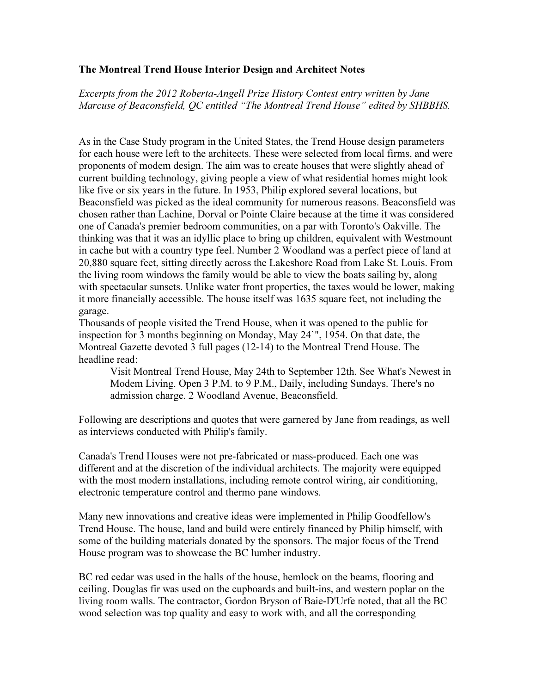## The Montreal Trend House Interior Design and Architect Notes

Excerpts from the 2012 Roberta-Angell Prize History Contest entry written by Jane Marcuse of Beaconsfield, QC entitled "The Montreal Trend House" edited by SHBBHS.

As in the Case Study program in the United States, the Trend House design parameters for each house were left to the architects. These were selected from local firms, and were proponents of modem design. The aim was to create houses that were slightly ahead of current building technology, giving people a view of what residential homes might look like five or six years in the future. In 1953, Philip explored several locations, but Beaconsfield was picked as the ideal community for numerous reasons. Beaconsfield was chosen rather than Lachine, Dorval or Pointe Claire because at the time it was considered one of Canada's premier bedroom communities, on a par with Toronto's Oakville. The thinking was that it was an idyllic place to bring up children, equivalent with Westmount in cache but with a country type feel. Number 2 Woodland was a perfect piece of land at 20,880 square feet, sitting directly across the Lakeshore Road from Lake St. Louis. From the living room windows the family would be able to view the boats sailing by, along with spectacular sunsets. Unlike water front properties, the taxes would be lower, making it more financially accessible. The house itself was 1635 square feet, not including the garage.

Thousands of people visited the Trend House, when it was opened to the public for inspection for 3 months beginning on Monday, May 24`", 1954. On that date, the Montreal Gazette devoted 3 full pages (12-14) to the Montreal Trend House. The headline read:

Visit Montreal Trend House, May 24th to September 12th. See What's Newest in Modem Living. Open 3 P.M. to 9 P.M., Daily, including Sundays. There's no admission charge. 2 Woodland Avenue, Beaconsfield.

Following are descriptions and quotes that were garnered by Jane from readings, as well as interviews conducted with Philip's family.

Canada's Trend Houses were not pre-fabricated or mass-produced. Each one was different and at the discretion of the individual architects. The majority were equipped with the most modern installations, including remote control wiring, air conditioning, electronic temperature control and thermo pane windows.

Many new innovations and creative ideas were implemented in Philip Goodfellow's Trend House. The house, land and build were entirely financed by Philip himself, with some of the building materials donated by the sponsors. The major focus of the Trend House program was to showcase the BC lumber industry.

BC red cedar was used in the halls of the house, hemlock on the beams, flooring and ceiling. Douglas fir was used on the cupboards and built-ins, and western poplar on the living room walls. The contractor, Gordon Bryson of Baie-D'Urfe noted, that all the BC wood selection was top quality and easy to work with, and all the corresponding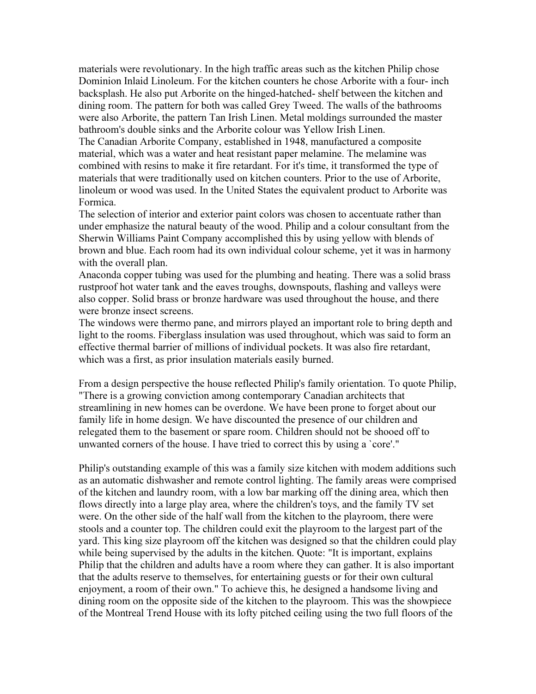materials were revolutionary. In the high traffic areas such as the kitchen Philip chose Dominion Inlaid Linoleum. For the kitchen counters he chose Arborite with a four- inch backsplash. He also put Arborite on the hinged-hatched- shelf between the kitchen and dining room. The pattern for both was called Grey Tweed. The walls of the bathrooms were also Arborite, the pattern Tan Irish Linen. Metal moldings surrounded the master bathroom's double sinks and the Arborite colour was Yellow Irish Linen.

The Canadian Arborite Company, established in 1948, manufactured a composite material, which was a water and heat resistant paper melamine. The melamine was combined with resins to make it fire retardant. For it's time, it transformed the type of materials that were traditionally used on kitchen counters. Prior to the use of Arborite, linoleum or wood was used. In the United States the equivalent product to Arborite was Formica.

The selection of interior and exterior paint colors was chosen to accentuate rather than under emphasize the natural beauty of the wood. Philip and a colour consultant from the Sherwin Williams Paint Company accomplished this by using yellow with blends of brown and blue. Each room had its own individual colour scheme, yet it was in harmony with the overall plan.

Anaconda copper tubing was used for the plumbing and heating. There was a solid brass rustproof hot water tank and the eaves troughs, downspouts, flashing and valleys were also copper. Solid brass or bronze hardware was used throughout the house, and there were bronze insect screens.

The windows were thermo pane, and mirrors played an important role to bring depth and light to the rooms. Fiberglass insulation was used throughout, which was said to form an effective thermal barrier of millions of individual pockets. It was also fire retardant, which was a first, as prior insulation materials easily burned.

From a design perspective the house reflected Philip's family orientation. To quote Philip, "There is a growing conviction among contemporary Canadian architects that streamlining in new homes can be overdone. We have been prone to forget about our family life in home design. We have discounted the presence of our children and relegated them to the basement or spare room. Children should not be shooed off to unwanted corners of the house. I have tried to correct this by using a `core'."

Philip's outstanding example of this was a family size kitchen with modem additions such as an automatic dishwasher and remote control lighting. The family areas were comprised of the kitchen and laundry room, with a low bar marking off the dining area, which then flows directly into a large play area, where the children's toys, and the family TV set were. On the other side of the half wall from the kitchen to the playroom, there were stools and a counter top. The children could exit the playroom to the largest part of the yard. This king size playroom off the kitchen was designed so that the children could play while being supervised by the adults in the kitchen. Quote: "It is important, explains Philip that the children and adults have a room where they can gather. It is also important that the adults reserve to themselves, for entertaining guests or for their own cultural enjoyment, a room of their own." To achieve this, he designed a handsome living and dining room on the opposite side of the kitchen to the playroom. This was the showpiece of the Montreal Trend House with its lofty pitched ceiling using the two full floors of the